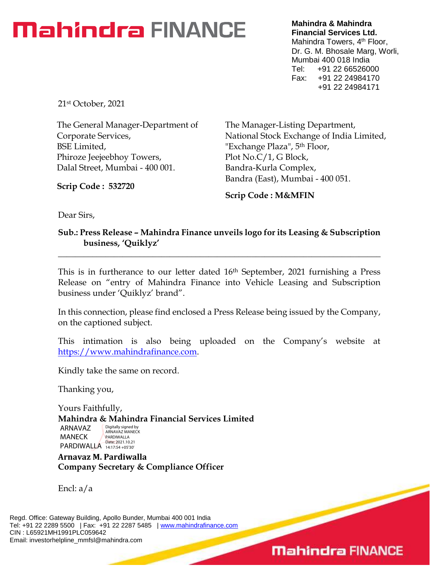# **Mahindra** FINANCE

**Mahindra & Mahindra Financial Services Ltd.** Mahindra Towers, 4<sup>th</sup> Floor, Dr. G. M. Bhosale Marg, Worli, Mumbai 400 018 India Tel: +91 22 66526000 Fax: +91 22 24984170 +91 22 24984171

21st October, 2021

The General Manager-Department of Corporate Services, BSE Limited, Phiroze Jeejeebhoy Towers, Dalal Street, Mumbai - 400 001.

**Scrip Code : 532720**

The Manager-Listing Department, National Stock Exchange of India Limited, "Exchange Plaza", 5<sup>th</sup> Floor, Plot No.C/1, G Block, Bandra-Kurla Complex, Bandra (East), Mumbai - 400 051.

**Scrip Code : M&MFIN**

Dear Sirs,

**Sub.: Press Release – Mahindra Finance unveils logo for its Leasing & Subscription business, 'Quiklyz'**

**\_\_\_\_\_\_\_\_\_\_\_\_\_\_\_\_\_\_\_\_\_\_\_\_\_\_\_\_\_\_\_\_\_\_\_\_\_\_\_\_\_\_\_\_\_\_\_\_\_\_\_\_\_\_\_\_\_\_\_\_\_\_\_\_\_\_\_\_\_\_\_\_\_\_\_**

This is in furtherance to our letter dated 16<sup>th</sup> September, 2021 furnishing a Press Release on "entry of Mahindra Finance into Vehicle Leasing and Subscription business under 'Quiklyz' brand".

In this connection, please find enclosed a Press Release being issued by the Company, on the captioned subject.

This intimation is also being uploaded on the Company's website at [https://www.mahindrafinance.com.](https://www.mahindrafinance.com/)

Kindly take the same on record.

Thanking you,

Yours Faithfully,

**Mahindra & Mahindra Financial Services Limited**

ARNAVAZ MANECK PARDIWALLA Date: 2021.10.21 Digitally signed by ARNAVAZ MANECK PARDIWALLA

**Arnavaz M. Pardiwalla Company Secretary & Compliance Officer**

Encl: a/a

Regd. Office: Gateway Building, Apollo Bunder, Mumbai 400 001 India Tel: +91 22 2289 5500 | Fax: +91 22 2287 5485 | [www.mahindrafinance.com](http://www.mahindrafinance.com/) CIN : L65921MH1991PLC059642 Email: investorhelpline\_mmfsl@mahindra.com

### **Mahindra FINANCE**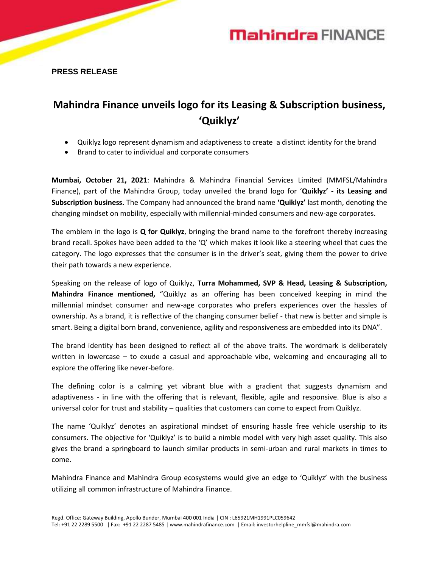

**PRESS RELEASE**

### **Mahindra Finance unveils logo for its Leasing & Subscription business, 'Quiklyz'**

- Quiklyz logo represent dynamism and adaptiveness to create a distinct identity for the brand
- Brand to cater to individual and corporate consumers

**Mumbai, October 21, 2021**: Mahindra & Mahindra Financial Services Limited (MMFSL/Mahindra Finance), part of the Mahindra Group, today unveiled the brand logo for '**Quiklyz' - its Leasing and Subscription business.** The Company had announced the brand name **'Quiklyz'** last month, denoting the changing mindset on mobility, especially with millennial-minded consumers and new-age corporates.

The emblem in the logo is **Q for Quiklyz**, bringing the brand name to the forefront thereby increasing brand recall. Spokes have been added to the 'Q' which makes it look like a steering wheel that cues the category. The logo expresses that the consumer is in the driver's seat, giving them the power to drive their path towards a new experience.

Speaking on the release of logo of Quiklyz, **Turra Mohammed, SVP & Head, Leasing & Subscription, Mahindra Finance mentioned,** "Quiklyz as an offering has been conceived keeping in mind the millennial mindset consumer and new-age corporates who prefers experiences over the hassles of ownership. As a brand, it is reflective of the changing consumer belief - that new is better and simple is smart. Being a digital born brand, convenience, agility and responsiveness are embedded into its DNA".

The brand identity has been designed to reflect all of the above traits. The wordmark is deliberately written in lowercase – to exude a casual and approachable vibe, welcoming and encouraging all to explore the offering like never-before.

The defining color is a calming yet vibrant blue with a gradient that suggests dynamism and adaptiveness - in line with the offering that is relevant, flexible, agile and responsive. Blue is also a universal color for trust and stability – qualities that customers can come to expect from Quiklyz.

The name 'Quiklyz' denotes an aspirational mindset of ensuring hassle free vehicle usership to its consumers. The objective for 'Quiklyz' is to build a nimble model with very high asset quality. This also gives the brand a springboard to launch similar products in semi-urban and rural markets in times to come.

Mahindra Finance and Mahindra Group ecosystems would give an edge to 'Quiklyz' with the business utilizing all common infrastructure of Mahindra Finance.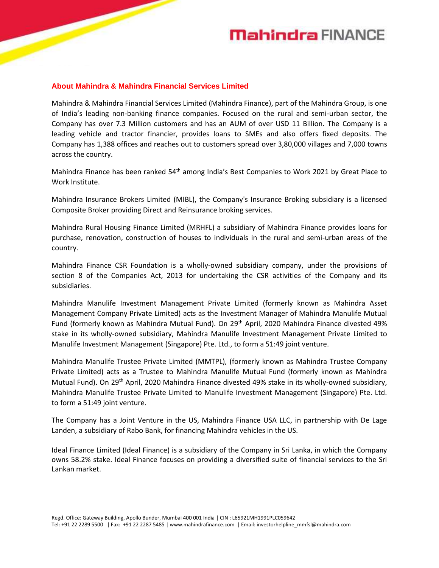# **Mahindra FINANCE**

#### **About Mahindra & Mahindra Financial Services Limited**

Mahindra & Mahindra Financial Services Limited (Mahindra Finance), part of the Mahindra Group, is one of India's leading non-banking finance companies. Focused on the rural and semi-urban sector, the Company has over 7.3 Million customers and has an AUM of over USD 11 Billion. The Company is a leading vehicle and tractor financier, provides loans to SMEs and also offers fixed deposits. The Company has 1,388 offices and reaches out to customers spread over 3,80,000 villages and 7,000 towns across the country.

Mahindra Finance has been ranked 54<sup>th</sup> among India's Best Companies to Work 2021 by Great Place to Work Institute.

Mahindra Insurance Brokers Limited (MIBL), the Company's Insurance Broking subsidiary is a licensed Composite Broker providing Direct and Reinsurance broking services.

Mahindra Rural Housing Finance Limited (MRHFL) a subsidiary of Mahindra Finance provides loans for purchase, renovation, construction of houses to individuals in the rural and semi-urban areas of the country.

Mahindra Finance CSR Foundation is a wholly-owned subsidiary company, under the provisions of section 8 of the Companies Act, 2013 for undertaking the CSR activities of the Company and its subsidiaries.

Mahindra Manulife Investment Management Private Limited (formerly known as Mahindra Asset Management Company Private Limited) acts as the Investment Manager of Mahindra Manulife Mutual Fund (formerly known as Mahindra Mutual Fund). On 29<sup>th</sup> April, 2020 Mahindra Finance divested 49% stake in its wholly-owned subsidiary, Mahindra Manulife Investment Management Private Limited to Manulife Investment Management (Singapore) Pte. Ltd., to form a 51:49 joint venture.

Mahindra Manulife Trustee Private Limited (MMTPL), (formerly known as Mahindra Trustee Company Private Limited) acts as a Trustee to Mahindra Manulife Mutual Fund (formerly known as Mahindra Mutual Fund). On 29th April, 2020 Mahindra Finance divested 49% stake in its wholly-owned subsidiary, Mahindra Manulife Trustee Private Limited to Manulife Investment Management (Singapore) Pte. Ltd. to form a 51:49 joint venture.

The Company has a Joint Venture in the US, Mahindra Finance USA LLC, in partnership with De Lage Landen, a subsidiary of Rabo Bank, for financing Mahindra vehicles in the US.

Ideal Finance Limited (Ideal Finance) is a subsidiary of the Company in Sri Lanka, in which the Company owns 58.2% stake. Ideal Finance focuses on providing a diversified suite of financial services to the Sri Lankan market.